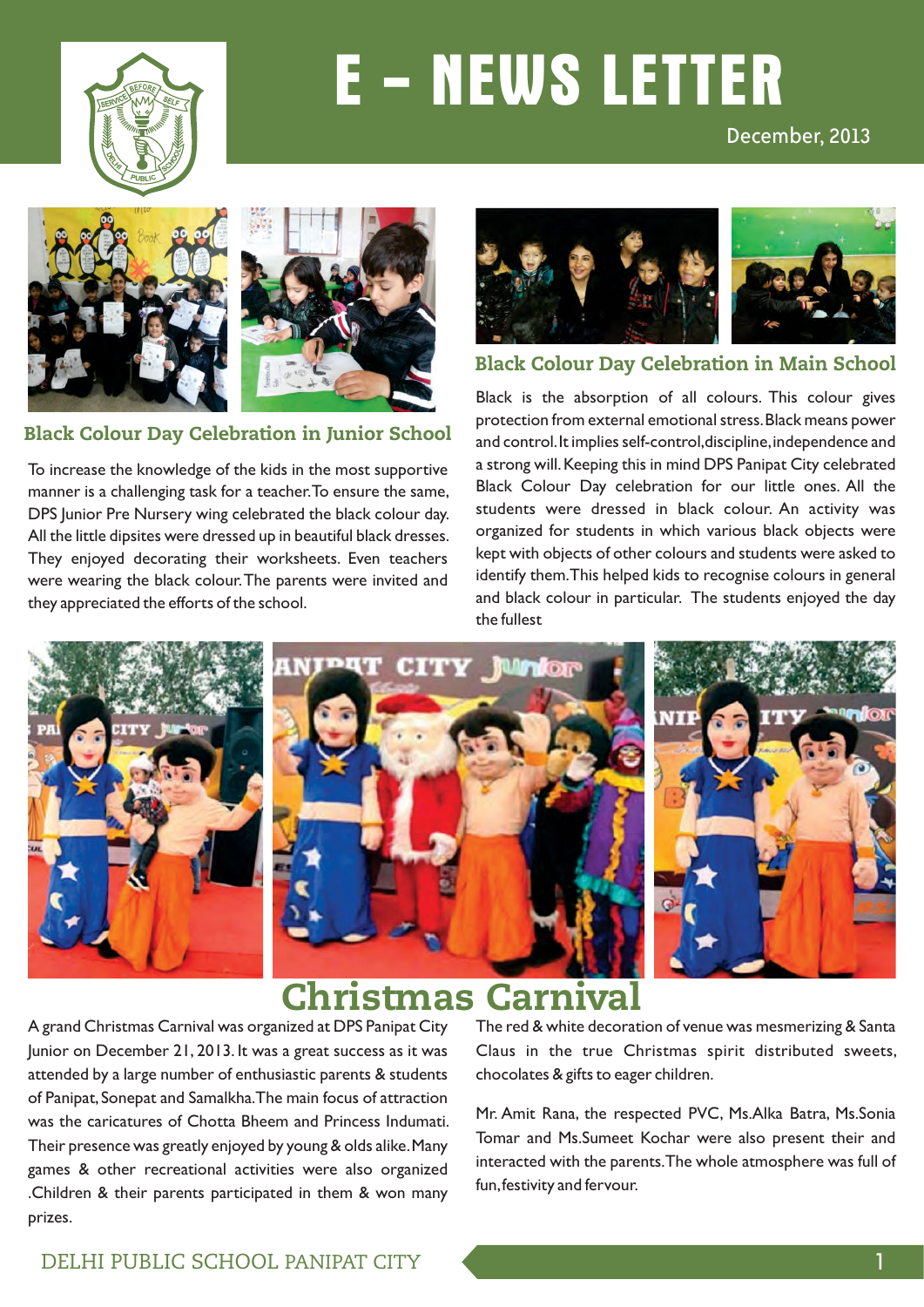

# **E - NEWS LETTER**

#### December, 2013



#### Black Colour Day Celebration in Junior School

To increase the knowledge of the kids in the most supportive manner is a challenging task for a teacher. To ensure the same, DPS Junior Pre Nursery wing celebrated the black colour day. All the little dipsites were dressed up in beautiful black dresses. They enjoyed decorating their worksheets. Even teachers were wearing the black colour. The parents were invited and they appreciated the efforts of the school.



#### Black Colour Day Celebration in Main School

Black is the absorption of all colours. This colour gives protection from external emotional stress. Black means power and control. It implies self-control,discipline, independence and a strong will. Keeping this in mind DPS Panipat City celebrated Black Colour Day celebration for our little ones. All the students were dressed in black colour. An activity was organized for students in which various black objects were kept with objects of other colours and students were asked to identify them. This helped kids to recognise colours in general and black colour in particular. The students enjoyed the day the fullest



### Christmas Carnival

A grand Christmas Carnival was organized at DPS Panipat City Junior on December 21, 2013. It was a great success as it was attended by a large number of enthusiastic parents & students of Panipat, Sonepat and Samalkha. The main focus of attraction was the caricatures of Chotta Bheem and Princess Indumati. Their presence was greatly enjoyed by young & olds alike. Many games & other recreational activities were also organized .Children & their parents participated in them & won many prizes.

The red & white decoration of venue was mesmerizing & Santa Claus in the true Christmas spirit distributed sweets, chocolates & gifts to eager children.

Mr. Amit Rana, the respected PVC, Ms.Alka Batra, Ms.Sonia Tomar and Ms.Sumeet Kochar were also present their and interacted with the parents. The whole atmosphere was full of fun, festivity and fervour.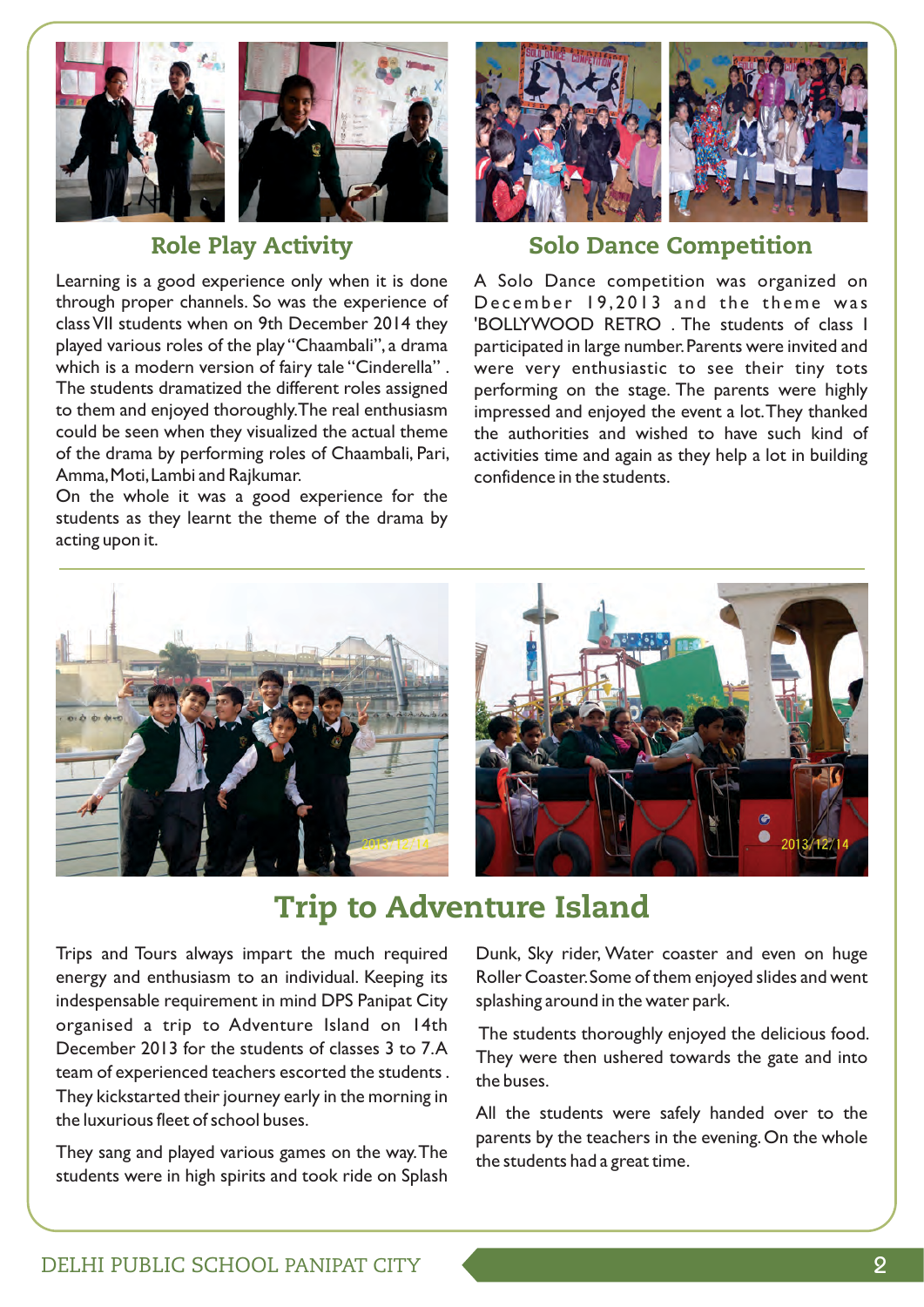

### Role Play Activity

Learning is a good experience only when it is done through proper channels. So was the experience of class VII students when on 9th December 2014 they played various roles of the play "Chaambali", a drama which is a modern version of fairy tale "Cinderella". The students dramatized the different roles assigned to them and enjoyed thoroughly. The real enthusiasm could be seen when they visualized the actual theme of the drama by performing roles of Chaambali, Pari, Amma, Moti, Lambi and Rajkumar.

On the whole it was a good experience for the students as they learnt the theme of the drama by acting upon it.



### Solo Dance Competition

A Solo Dance competition was organized on December 19,2013 and the theme was 'BOLLYWOOD RETRO . The students of class I participated in large number. Parents were invited and were very enthusiastic to see their tiny tots performing on the stage. The parents were highly impressed and enjoyed the event a lot. They thanked the authorities and wished to have such kind of activities time and again as they help a lot in building confidence in the students.



### Trip to Adventure Island

Trips and Tours always impart the much required energy and enthusiasm to an individual. Keeping its indespensable requirement in mind DPS Panipat City organised a trip to Adventure Island on 14th December 2013 for the students of classes 3 to 7. A team of experienced teachers escorted the students . They kickstarted their journey early in the morning in the luxurious fleet of school buses.

They sang and played various games on the way. The students were in high spirits and took ride on Splash

Dunk, Sky rider, Water coaster and even on huge Roller Coaster. Some of them enjoyed slides and went splashing around in the water park.

 The students thoroughly enjoyed the delicious food. They were then ushered towards the gate and into the buses.

All the students were safely handed over to the parents by the teachers in the evening. On the whole the students had a great time.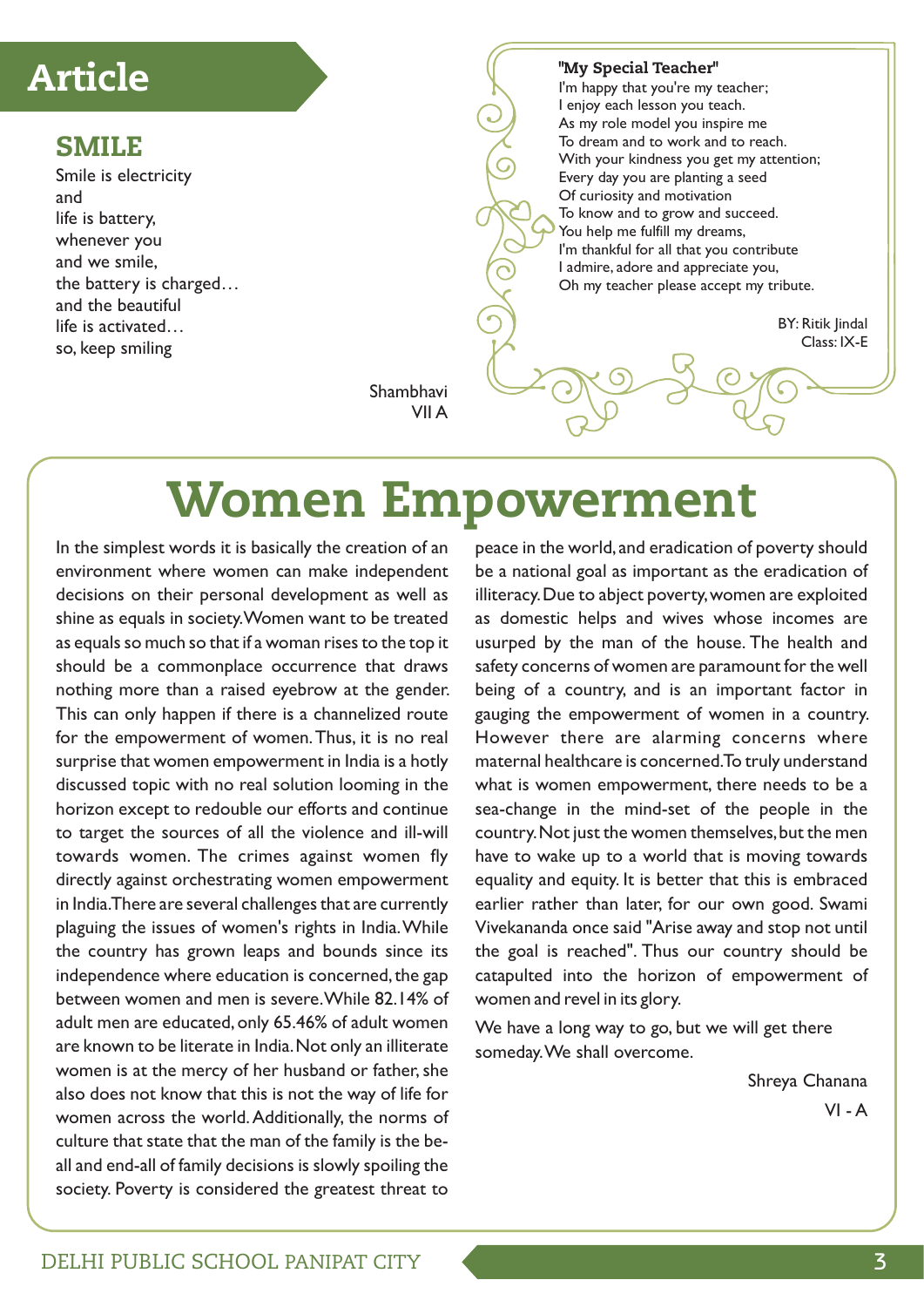### Article

### SMILE

Smile is electricity and life is battery, whenever you and we smile, the battery is charged… and the beautiful life is activated… so, keep smiling

"My Special Teacher" I'm happy that you're my teacher; I enjoy each lesson you teach. As my role model you inspire me To dream and to work and to reach. With your kindness you get my attention; Every day you are planting a seed Of curiosity and motivation To know and to grow and succeed. You help me fulfill my dreams, I'm thankful for all that you contribute I admire, adore and appreciate you, Oh my teacher please accept my tribute. BY: Ritik Jindal Class: IX-E

Shambhavi VII A

# Women Empowerment

In the simplest words it is basically the creation of an environment where women can make independent decisions on their personal development as well as shine as equals in society. Women want to be treated as equals so much so that if a woman rises to the top it should be a commonplace occurrence that draws nothing more than a raised eyebrow at the gender. This can only happen if there is a channelized route for the empowerment of women. Thus, it is no real surprise that women empowerment in India is a hotly discussed topic with no real solution looming in the horizon except to redouble our efforts and continue to target the sources of all the violence and ill-will towards women. The crimes against women fly directly against orchestrating women empowerment in India. There are several challenges that are currently plaguing the issues of women's rights in India. While the country has grown leaps and bounds since its independence where education is concerned, the gap between women and men is severe. While 82.14% of adult men are educated, only 65.46% of adult women are known to be literate in India. Not only an illiterate women is at the mercy of her husband or father, she also does not know that this is not the way of life for women across the world. Additionally, the norms of culture that state that the man of the family is the beall and end-all of family decisions is slowly spoiling the society. Poverty is considered the greatest threat to

peace in the world, and eradication of poverty should be a national goal as important as the eradication of illiteracy. Due to abject poverty, women are exploited as domestic helps and wives whose incomes are usurped by the man of the house. The health and safety concerns of women are paramount for the well being of a country, and is an important factor in gauging the empowerment of women in a country. However there are alarming concerns where maternal healthcare is concerned. To truly understand what is women empowerment, there needs to be a sea-change in the mind-set of the people in the country. Not just the women themselves, but the men have to wake up to a world that is moving towards equality and equity. It is better that this is embraced earlier rather than later, for our own good. Swami Vivekananda once said "Arise away and stop not until the goal is reached". Thus our country should be catapulted into the horizon of empowerment of women and revel in its glory.

We have a long way to go, but we will get there someday. We shall overcome.

> Shreya Chanana  $VI - A$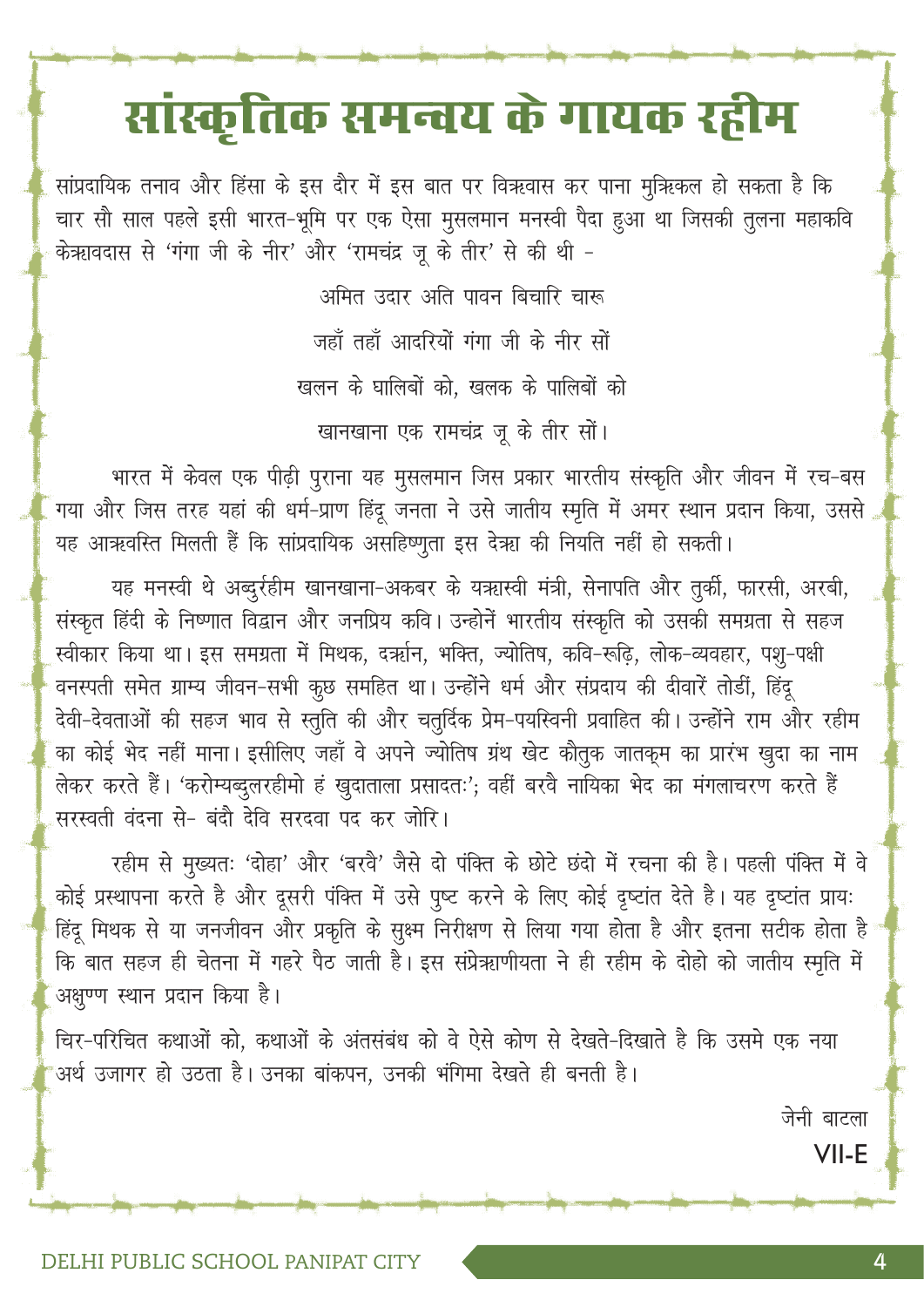# सांस्कृतिक समन्वय के गायक रहीम

सांप्रदायिक तनाव और हिंसा के इस दौर में इस बात पर विऋवास कर पाना मुऋिकल हो सकता है कि चार सौ साल पहले इसी भारत-भूमि पर एक ऐसा मुसलमान मनस्वी पैदा हुआ था जिसकी तुलना महाकवि केऋावदास से 'गंगा जी के नीर' और 'रामचंद्र जू के तीर' से की थी -

> अमित उदार अति पावन बिचारि चारू जहाँ तहाँ आदरियों गंगा जी के नीर सों खलन के घालिबों को, खलक के पालिबों को खानखाना एक रामचंद्र जू के तीर सों।

भारत में केवल एक पीढ़ी पुराना यह मुसलमान जिस प्रकार भारतीय संस्कृति और जीवन में रच-बस गया और जिस तरह यहां की धर्म-प्राण हिंदू जनता ने उसे जातीय स्मृति में अमर स्थान प्रदान किया, उससे यह आऋवस्ति मिलती हैं कि सांप्रदायिक असहिष्णुता इस देऋा की नियति नहीं हो सकती।

यह मनस्वी थे अब्दुर्रहीम खानखाना-अकबर के यऋास्वी मंत्री, सेनापति और तुर्की, फारसी, अरबी, संस्कृत हिंदी के निष्णात विद्वान और जनप्रिय कवि। उन्होनें भारतीय संस्कृति को उसकी समग्रता से सहज स्वीकार किया था। इस समग्रता में मिथक, दर्ऋान, भक्ति, ज्योतिष, कवि-रूढ़ि, लोक-व्यवहार, पशु-पक्षी वनस्पती समेत ग्राम्य जीवन-सभी कुछ समहित था। उन्होंने धर्म और संप्रदाय की दीवारें तोडीं, हिंदू देवी-देवताओं की सहज भाव से स्तुति की और चतुर्दिक प्रेम-पयस्विनी प्रवाहित की। उन्होंने राम और रहीम का कोई भेद नहीं माना। इसीलिए जहाँ वे अपने ज्योतिष ग्रंथ खेट कौतुक जातकूम का प्रारंभ खुदा का नाम लेकर करते हैं। 'करोम्यब्दुलरहीमो हं खुदाताला प्रसादतः'; वहीं बरवे नायिका भेद का मंगलाचरण करते हैं सरस्वती वंदना से- बंदौ देवि सरदवा पद कर जोरि।

रहीम से मुख्यतः 'दोहा' और 'बरवै' जैसे दो पंक्ति के छोटे छंदो में रचना की है। पहली पंक्ति में वे कोई प्रस्थापना करते है और दूसरी पंक्ति में उसे पुष्ट करने के लिए कोई दृष्टांत देते है। यह दृष्टांत प्रायः हिंदू मिथक से या जनजीवन और प्रकृति के सुक्ष्म निरीक्षण से लिया गया होता है और इतना सटीक होता है कि बात सहज ही चेतना में गहरे पैठ जाती है। इस संप्रेऋाणीयता ने ही रहीम के दोहो को जातीय स्मृति में अक्षण्ण स्थान प्रदान किया है।

चिर-परिचित कथाओं को, कथाओं के अंतसंबंध को वे ऐसे कोण से देखते-दिखाते है कि उसमे एक नया अर्थ उजागर हो उठता है। उनका बांकपन, उनकी भंगिमा देखते ही बनती है।

> जेनी बाटला VII-E